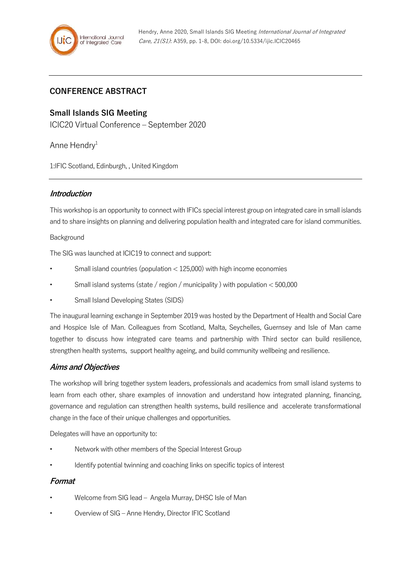# **CONFERENCE ABSTRACT**

## **Small Islands SIG Meeting**

ICIC20 Virtual Conference – September 2020

Anne Hendry<sup>1</sup>

1:IFIC Scotland, Edinburgh, , United Kingdom

## **Introduction**

This workshop is an opportunity to connect with IFICs special interest group on integrated care in small islands and to share insights on planning and delivering population health and integrated care for island communities.

#### Background

The SIG was launched at ICIC19 to connect and support:

- Small island countries (population  $<$  125,000) with high income economies
- Small island systems (state / region / municipality ) with population < 500,000
- Small Island Developing States (SIDS)

The inaugural learning exchange in September 2019 was hosted by the Department of Health and Social Care and Hospice Isle of Man. Colleagues from Scotland, Malta, Seychelles, Guernsey and Isle of Man came together to discuss how integrated care teams and partnership with Third sector can build resilience, strengthen health systems, support healthy ageing, and build community wellbeing and resilience.

## **Aims and Objectives**

The workshop will bring together system leaders, professionals and academics from small island systems to learn from each other, share examples of innovation and understand how integrated planning, financing, governance and regulation can strengthen health systems, build resilience and accelerate transformational change in the face of their unique challenges and opportunities.

Delegates will have an opportunity to:

- Network with other members of the Special Interest Group
- Identify potential twinning and coaching links on specific topics of interest

## **Format**

- Welcome from SIG lead Angela Murray, DHSC Isle of Man
- Overview of SIG Anne Hendry, Director IFIC Scotland